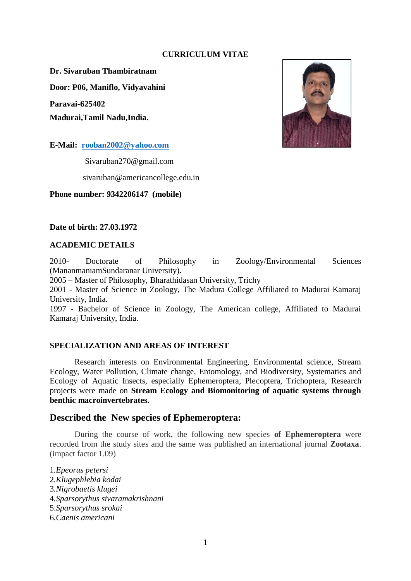#### **CURRICULUM VITAE**

**Dr. Sivaruban Thambiratnam**

**Door: P06, Maniflo, Vidyavahini**

**Paravai-625402**

**Madurai,Tamil Nadu,India.**

**E-Mail: [rooban2002@yahoo.com](mailto:rooban2002@yahoo.com)**

Sivaruban270@gmail.com

sivaruban@americancollege.edu.in

**Phone number: 9342206147 (mobile)**

#### **Date of birth: 27.03.1972**

#### **ACADEMIC DETAILS**

2010- Doctorate of Philosophy in Zoology/Environmental Sciences (MananmaniamSundaranar University).

2005 – Master of Philosophy, Bharathidasan University, Trichy

2001 - Master of Science in Zoology, The Madura College Affiliated to Madurai Kamaraj University, India.

1997 - Bachelor of Science in Zoology, The American college, Affiliated to Madurai Kamaraj University, India.

# **SPECIALIZATION AND AREAS OF INTEREST**

Research interests on Environmental Engineering, Environmental science, Stream Ecology, Water Pollution, Climate change, Entomology, and Biodiversity, Systematics and Ecology of Aquatic Insects, especially Ephemeroptera, Plecoptera, Trichoptera, Research projects were made on **Stream Ecology and Biomonitoring of aquatic systems through benthic macroinvertebrates.**

# **Described the New species of Ephemeroptera:**

During the course of work, the following new species **of Ephemeroptera** were recorded from the study sites and the same was published an international journal **Zootaxa**. (impact factor 1.09)

*.Epeorus petersi .Klugephlebia kodai .Nigrobaetis klugei .Sparsorythus sivaramakrishnani* 5.*Sparsorythus srokai .Caenis americani*

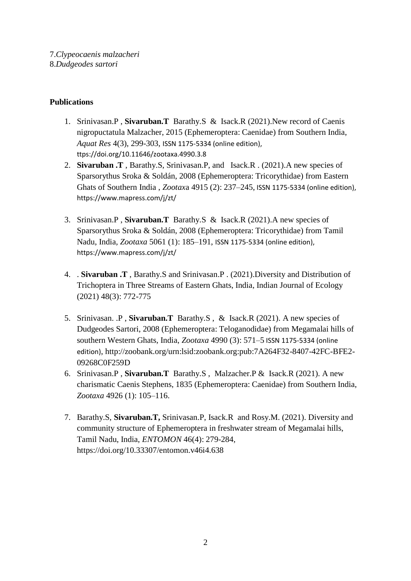# **Publications**

- 1. Srinivasan.P , **Sivaruban.T** Barathy.S & Isack.R (2021).New record of Caenis nigropuctatula Malzacher, 2015 (Ephemeroptera: Caenidae) from Southern India, *Aquat Res* 4(3), 299-303, ISSN 1175-5334 (online edition), ttps://doi.org/10.11646/zootaxa.4990.3.8
- 2. **Sivaruban .T** , Barathy.S, Srinivasan.P, and Isack.R . (2021).A new species of Sparsorythus Sroka & Soldán, 2008 (Ephemeroptera: Tricorythidae) from Eastern Ghats of Southern India , *Zootax*a 4915 (2): 237–245, ISSN 1175-5334 (online edition), https://www.mapress.com/j/zt/
- 3. Srinivasan.P , **Sivaruban.T** Barathy.S & Isack.R (2021).A new species of Sparsorythus Sroka & Soldán, 2008 (Ephemeroptera: Tricorythidae) from Tamil Nadu, India*, Zootaxa* 5061 (1): 185–191, ISSN 1175-5334 (online edition), https://www.mapress.com/j/zt/
- 4. . **Sivaruban .T** , Barathy.S and Srinivasan.P . (2021).Diversity and Distribution of Trichoptera in Three Streams of Eastern Ghats, India, Indian Journal of Ecology (2021) 48(3): 772-775
- 5. Srinivasan. .P , **Sivaruban.T** Barathy.S , & Isack.R (2021). A new species of Dudgeodes Sartori, 2008 (Ephemeroptera: Teloganodidae) from Megamalai hills of southern Western Ghats, India, *Zootaxa* 4990 (3): 571–5 ISSN 1175-5334 (online edition), http://zoobank.org/urn:lsid:zoobank.org:pub:7A264F32-8407-42FC-BFE2- 09268C0F259D
- 6. Srinivasan.P , **Sivaruban.T** Barathy.S , Malzacher.P & Isack.R (2021). A new charismatic Caenis Stephens, 1835 (Ephemeroptera: Caenidae) from Southern India, *Zootaxa* 4926 (1): 105–116.
- 7. Barathy.S, **Sivaruban.T,** Srinivasan.P, Isack.R and Rosy.M. (2021). Diversity and community structure of Ephemeroptera in freshwater stream of Megamalai hills, Tamil Nadu, India, *ENTOMON* 46(4): 279-284, https://doi.org/10.33307/entomon.v46i4.638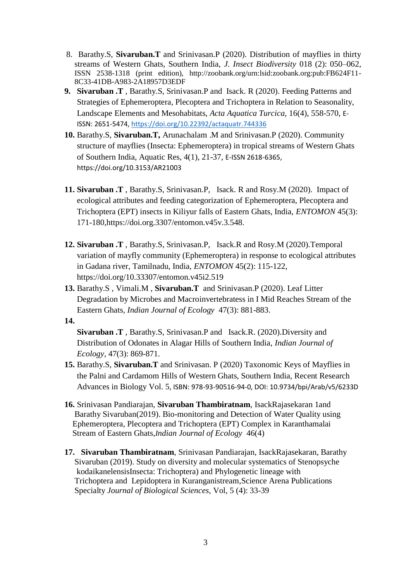- 8. Barathy.S, **Sivaruban.T** and Srinivasan.P (2020). Distribution of mayflies in thirty streams of Western Ghats, Southern India, *J. Insect Biodiversity* 018 (2): 050–062, ISSN 2538-1318 (print edition), http://zoobank.org/urn:lsid:zoobank.org:pub:FB624F11- 8C33-41DB-A983-2A18957D3EDF
- **9. Sivaruban .T** , Barathy.S, Srinivasan.P and Isack. R (2020). Feeding Patterns and Strategies of Ephemeroptera, Plecoptera and Trichoptera in Relation to Seasonality, Landscape Elements and Mesohabitats, *Acta Aquatica Turcica,* 16(4), 558-570, E-ISSN: 2651-5474, <https://doi.org/10.22392/actaquatr.744336>
- **10.** Barathy.S, **Sivaruban.T,** Arunachalam .M and Srinivasan.P (2020). Community structure of mayflies (Insecta: Ephemeroptera) in tropical streams of Western Ghats of Southern India, Aquatic Res, 4(1), 21-37, E-ISSN 2618-6365, https://doi.org/10.3153/AR21003
- **11. Sivaruban .T** , Barathy.S, Srinivasan.P, Isack. R and Rosy.M (2020). Impact of ecological attributes and feeding categorization of Ephemeroptera, Plecoptera and Trichoptera (EPT) insects in Kiliyur falls of Eastern Ghats, India, *ENTOMON* 45(3): 171-180,https://doi.org.3307/entomon.v45v.3.548.
- **12. Sivaruban .T** , Barathy.S, Srinivasan.P, Isack.R and Rosy.M (2020).Temporal variation of mayfly community (Ephemeroptera) in response to ecological attributes in Gadana river, Tamilnadu, India, *ENTOMON* 45(2): 115-122, https://doi.org/10.33307/entomon.v45i2.519
- **13.** Barathy.S , Vimali.M , **Sivaruban.T** and Srinivasan.P (2020). Leaf Litter Degradation by Microbes and Macroinvertebratess in I Mid Reaches Stream of the Eastern Ghats*, Indian Journal of Ecology* 47(3): 881-883.
- **14.**

**Sivaruban .T** , Barathy.S, Srinivasan.P and Isack.R. (2020).Diversity and Distribution of Odonates in Alagar Hills of Southern India, *Indian Journal of Ecology*, 47(3): 869-871.

- **15.** Barathy.S, **Sivaruban.T** and Srinivasan. P (2020) Taxonomic Keys of Mayflies in the Palni and Cardamom Hills of Western Ghats, Southern India, Recent Research Advances in Biology Vol. 5, ISBN: 978-93-90516-94-0, DOI: 10.9734/bpi/Arab/v5/6233D
- **16.** Srinivasan Pandiarajan, **Sivaruban Thambiratnam**, IsackRajasekaran 1and Barathy Sivaruban(2019). Bio-monitoring and Detection of Water Quality using Ephemeroptera, Plecoptera and Trichoptera (EPT) Complex in Karanthamalai Stream of Eastern Ghats,*Indian Journal of Ecology* 46(4)
- **17. Sivaruban Thambiratnam**, Srinivasan Pandiarajan, IsackRajasekaran, Barathy Sivaruban (2019). Study on diversity and molecular systematics of Stenopsyche kodaikanelensisInsecta: Trichoptera) and Phylogenetic lineage with Trichoptera and Lepidoptera in Kuranganistream,Science Arena Publications Specialty *Journal of Biological Sciences,* Vol, 5 (4): 33-39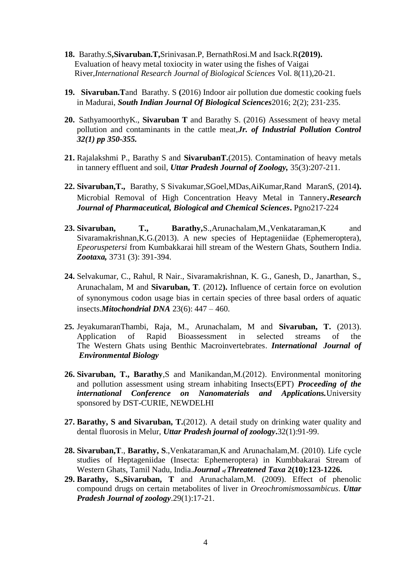- **18.** Barathy.S**,Sivaruban.T,**Srinivasan.P, BernathRosi.M and Isack.R**(2019).**  Evaluation of heavy metal toxiocity in water using the fishes of Vaigai River,*International Research Journal of Biological Sciences* Vol. 8(11),20-21.
- **19. Sivaruban.T**and Barathy. S **(**2016) Indoor air pollution due domestic cooking fuels in Madurai, *South Indian Journal Of Biological Sciences*2016; 2(2); 231‐235.
- **20.** SathyamoorthyK., **Sivaruban T** and Barathy S. (2016) Assessment of heavy metal pollution and contaminants in the cattle meat,*Jr. of Industrial Pollution Control 32(1) pp 350-355.*
- **21.** Rajalakshmi P., Barathy S and **SivarubanT.**(2015). Contamination of heavy metals in tannery effluent and soil, *Uttar Pradesh Journal of Zoology,* 35(3):207-211.
- **22. Sivaruban,T.,** Barathy, S Sivakumar,SGoel,MDas,AiKumar,Rand MaranS, (2014**).**  Microbial Removal of High Concentration Heavy Metal in Tannery**.***Research Journal of Pharmaceutical, Biological and Chemical Sciences***.** Pgno217-224
- **23. Sivaruban, T., Barathy,**S.,Arunachalam,M.,Venkataraman,K and Sivaramakrishnan,K.G.(2013). A new species of Heptageniidae (Ephemeroptera), *Epeoruspetersi* from Kumbakkarai hill stream of the Western Ghats, Southern India. *Zootaxa,* 3731 (3): 391-394.
- **24.** Selvakumar, C., Rahul, R Nair., Sivaramakrishnan, K. G., Ganesh, D., Janarthan, S., Arunachalam, M and **Sivaruban, T**. (2012**).** Influence of certain force on evolution of synonymous codon usage bias in certain species of three basal orders of aquatic insects.*Mitochondrial DNA* 23(6): 447 – 460.
- **25.** JeyakumaranThambi, Raja, M., Arunachalam, M and **Sivaruban, T.** (2013). Application of Rapid Bioassessment in selected streams of the The Western Ghats using Benthic Macroinvertebrates. *International Journal of Environmental Biology*
- **26. Sivaruban, T., Barathy**,S and Manikandan,M.(2012). Environmental monitoring and pollution assessment using stream inhabiting Insects(EPT) *Proceeding of the international Conference on Nanomaterials and Applications.*University sponsored by DST-CURIE, NEWDELHI
- **27. Barathy, S and Sivaruban, T.**(2012). A detail study on drinking water quality and dental fluorosis in Melur, *Uttar Pradesh journal of zoology***.**32(1):91-99.
- **28. Sivaruban,T**., **Barathy, S**.,Venkataraman,K and Arunachalam,M. (2010). Life cycle studies of Heptageniidae (Insecta: Ephemeroptera) in Kumbbakarai Stream of Western Ghats, Tamil Nadu, India.*Journal of Threatened Taxa* **2(10):123-1226.**
- **29. Barathy, S.,Sivaruban, T** and Arunachalam,M. (2009). Effect of phenolic compound drugs on certain metabolites of liver in *Oreochromismossambicus*. *Uttar Pradesh Journal of zoology*.29(1):17-21.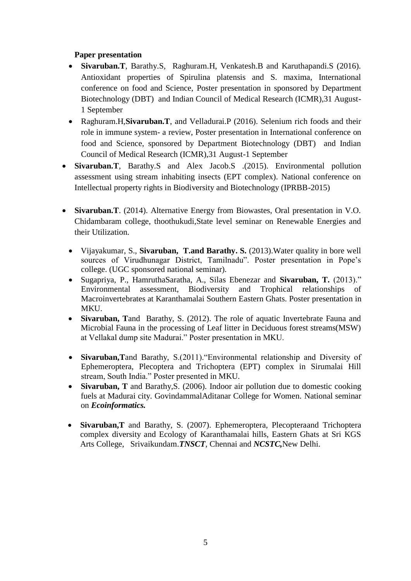# **Paper presentation**

- **Sivaruban.T**, Barathy.S, Raghuram.H, Venkatesh.B and Karuthapandi.S (2016). Antioxidant properties of Spirulina platensis and S. maxima, International conference on food and Science, Poster presentation in sponsored by Department Biotechnology (DBT) and Indian Council of Medical Research (ICMR),31 August-1 September
- Raghuram.H,**Sivaruban.T**, and Velladurai.P (2016). Selenium rich foods and their role in immune system- a review, Poster presentation in International conference on food and Science, sponsored by Department Biotechnology (DBT) and Indian Council of Medical Research (ICMR),31 August-1 September
- **Sivaruban.T**, Barathy.S and Alex Jacob.S .(2015). Environmental pollution assessment using stream inhabiting insects (EPT complex). National conference on Intellectual property rights in Biodiversity and Biotechnology (IPRBB-2015)
- **Sivaruban.T**. (2014). Alternative Energy from Biowastes, Oral presentation in V.O. Chidambaram college, thoothukudi,State level seminar on Renewable Energies and their Utilization.
	- Vijayakumar, S., **Sivaruban, T.and Barathy. S.** (2013).Water quality in bore well sources of Virudhunagar District, Tamilnadu". Poster presentation in Pope's college. (UGC sponsored national seminar).
	- Sugapriya, P., HamruthaSaratha, A., Silas Ebenezar and **Sivaruban, T.** (2013)." Environmental assessment, Biodiversity and Trophical relationships of Macroinvertebrates at Karanthamalai Southern Eastern Ghats. Poster presentation in MKU.
	- **Sivaruban, T**and Barathy, S. (2012). The role of aquatic Invertebrate Fauna and Microbial Fauna in the processing of Leaf litter in Deciduous forest streams(MSW) at Vellakal dump site Madurai." Poster presentation in MKU.
	- **Sivaruban,T**and Barathy, S.(2011)."Environmental relationship and Diversity of Ephemeroptera, Plecoptera and Trichoptera (EPT) complex in Sirumalai Hill stream, South India." Poster presented in MKU.
	- **Sivaruban, T** and Barathy,S. (2006). Indoor air pollution due to domestic cooking fuels at Madurai city. GovindammalAditanar College for Women. National seminar on *Ecoinformatics.*
	- **Sivaruban,T** and Barathy, S. (2007). Ephemeroptera, Plecopteraand Trichoptera complex diversity and Ecology of Karanthamalai hills, Eastern Ghats at Sri KGS Arts College, Srivaikundam.*TNSCT*, Chennai and *NCSTC,*New Delhi.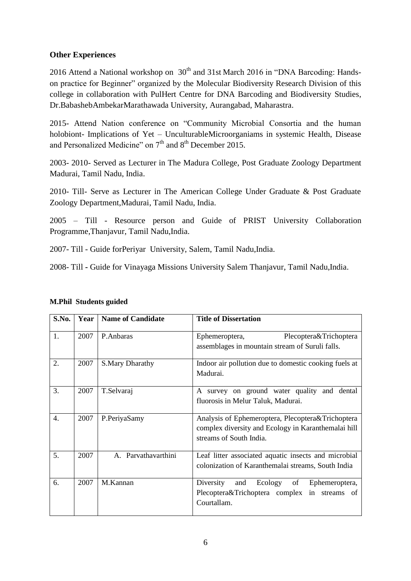# **Other Experiences**

2016 Attend a National workshop on  $30<sup>th</sup>$  and 31st March 2016 in "DNA Barcoding: Handson practice for Beginner" organized by the Molecular Biodiversity Research Division of this college in collaboration with PulHert Centre for DNA Barcoding and Biodiversity Studies, Dr.BabashebAmbekarMarathawada University, Aurangabad, Maharastra.

2015- Attend Nation conference on "Community Microbial Consortia and the human holobiont- Implications of Yet – UnculturableMicroorganiams in systemic Health, Disease and Personalized Medicine" on  $7<sup>th</sup>$  and  $8<sup>th</sup>$  December 2015.

2003- 2010- Served as Lecturer in The Madura College, Post Graduate Zoology Department Madurai, Tamil Nadu, India.

2010- Till- Serve as Lecturer in The American College Under Graduate & Post Graduate Zoology Department,Madurai, Tamil Nadu, India.

2005 – Till - Resource person and Guide of PRIST University Collaboration Programme,Thanjavur, Tamil Nadu,India.

2007- Till - Guide forPeriyar University, Salem, Tamil Nadu,India.

2008- Till **-** Guide for Vinayaga Missions University Salem Thanjavur, Tamil Nadu,India.

| S.No. | Year | <b>Name of Candidate</b> | <b>Title of Dissertation</b>                                                                                                         |
|-------|------|--------------------------|--------------------------------------------------------------------------------------------------------------------------------------|
| 1.    | 2007 | P.Anbaras                | Plecoptera&Trichoptera<br>Ephemeroptera,<br>assemblages in mountain stream of Suruli falls.                                          |
| 2.    | 2007 | S.Mary Dharathy          | Indoor air pollution due to domestic cooking fuels at<br>Madurai.                                                                    |
| 3.    | 2007 | T.Selvaraj               | A survey on ground water quality and dental<br>fluorosis in Melur Taluk, Madurai.                                                    |
| 4.    | 2007 | P.PeriyaSamy             | Analysis of Ephemeroptera, Plecoptera& Trichoptera<br>complex diversity and Ecology in Karanthemalai hill<br>streams of South India. |
| 5.    | 2007 | A. Parvathavarthini      | Leaf litter associated aquatic insects and microbial<br>colonization of Karanthemalai streams, South India                           |
| 6.    | 2007 | M.Kannan                 | Diversity<br>Ecology of<br>and<br>Ephemeroptera,<br>Plecoptera&Trichoptera complex in streams of<br>Courtallam.                      |

# **M.Phil Students guided**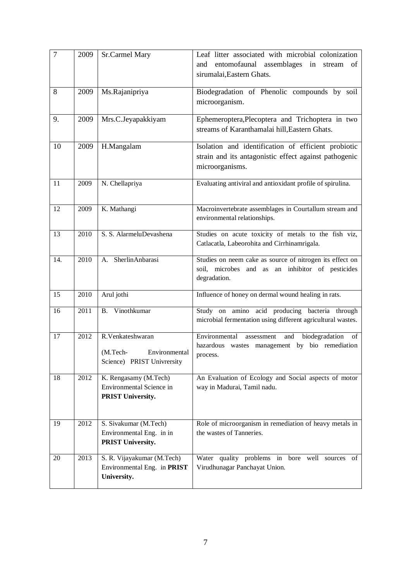| $\overline{7}$ | 2009 | Sr.Carmel Mary                             | Leaf litter associated with microbial colonization          |
|----------------|------|--------------------------------------------|-------------------------------------------------------------|
|                |      |                                            | entomofaunal assemblages in<br>and<br>stream<br>of          |
|                |      |                                            | sirumalai, Eastern Ghats.                                   |
| 8              | 2009 | Ms.Rajanipriya                             | Biodegradation of Phenolic compounds by soil                |
|                |      |                                            | microorganism.                                              |
| 9.             | 2009 | Mrs.C.Jeyapakkiyam                         | Ephemeroptera, Plecoptera and Trichoptera in two            |
|                |      |                                            | streams of Karanthamalai hill, Eastern Ghats.               |
| 10             | 2009 | H.Mangalam                                 | Isolation and identification of efficient probiotic         |
|                |      |                                            | strain and its antagonistic effect against pathogenic       |
|                |      |                                            | microorganisms.                                             |
| 11             | 2009 | N. Chellapriya                             | Evaluating antiviral and antioxidant profile of spirulina.  |
|                |      |                                            |                                                             |
| 12             | 2009 | K. Mathangi                                | Macroinvertebrate assemblages in Courtallum stream and      |
|                |      |                                            | environmental relationships.                                |
| 13             | 2010 | S. S. AlarmeluDevashena                    | Studies on acute toxicity of metals to the fish viz,        |
|                |      |                                            | Catlacatla, Labeorohita and Cirrhinamrigala.                |
| 14.            | 2010 | A. SherlinAnbarasi                         | Studies on neem cake as source of nitrogen its effect on    |
|                |      |                                            | soil, microbes and as an inhibitor of pesticides            |
|                |      |                                            | degradation.                                                |
| 15             | 2010 | Arul jothi                                 | Influence of honey on dermal wound healing in rats.         |
| 16             | 2011 | B. Vinothkumar                             | Study on amino acid producing bacteria through              |
|                |      |                                            | microbial fermentation using different agricultural wastes. |
| 17             | 2012 | R.Venkateshwaran                           | Environmental<br>biodegradation<br>and<br>assessment<br>of  |
|                |      | (M.Tech-<br>Environmental                  | hazardous wastes management by bio remediation<br>process.  |
|                |      | Science) PRIST Univrersity                 |                                                             |
| 18             | 2012 | K. Rengasamy (M.Tech)                      | An Evaluation of Ecology and Social aspects of motor        |
|                |      | Environmental Science in                   | way in Madurai, Tamil nadu.                                 |
|                |      | <b>PRIST University.</b>                   |                                                             |
|                |      |                                            |                                                             |
| 19             | 2012 | S. Sivakumar (M.Tech)                      | Role of microorganism in remediation of heavy metals in     |
|                |      | Environmental Eng. in in                   | the wastes of Tanneries.                                    |
|                |      | PRIST University.                          |                                                             |
| 20             | 2013 | S. R. Vijayakumar (M.Tech)                 | Water quality problems in bore well sources<br>of           |
|                |      | Environmental Eng. in PRIST<br>University. | Virudhunagar Panchayat Union.                               |
|                |      |                                            |                                                             |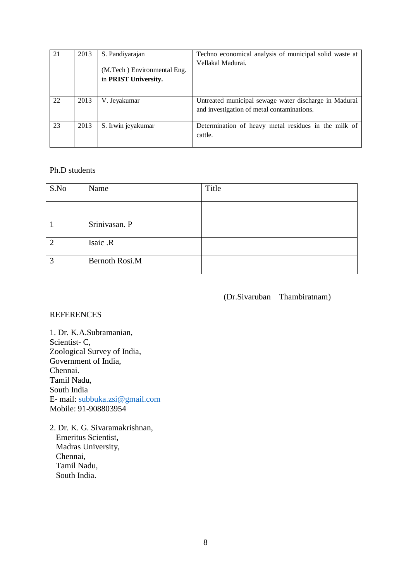| 21 | 2013 | S. Pandiyarajan                                     | Techno economical analysis of municipal solid waste at                                              |
|----|------|-----------------------------------------------------|-----------------------------------------------------------------------------------------------------|
|    |      | (M.Tech) Environmental Eng.<br>in PRIST University. | Vellakal Madurai.                                                                                   |
| 22 | 2013 | V. Jevakumar                                        | Untreated municipal sewage water discharge in Madurai<br>and investigation of metal contaminations. |
| 23 | 2013 | S. Irwin jeyakumar                                  | Determination of heavy metal residues in the milk of<br>cattle.                                     |

#### Ph.D students

| S.No           | Name                  | Title |
|----------------|-----------------------|-------|
|                |                       |       |
|                | Srinivasan. P         |       |
| $\overline{2}$ | Isaic .R              |       |
| 3              | <b>Bernoth Rosi.M</b> |       |

(Dr.Sivaruban Thambiratnam)

#### REFERENCES

1. Dr. K.A.Subramanian, Scientist- C, Zoological Survey of India, Government of India, Chennai. Tamil Nadu, South India E- mail: [subbuka.zsi@gmail.com](mailto:subbuka.zsi@gmail.com) Mobile: 91-908803954

2. Dr. K. G. Sivaramakrishnan, Emeritus Scientist, Madras University, Chennai, Tamil Nadu, South India.